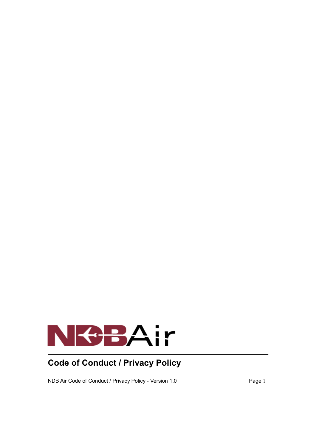

# **Code of Conduct / Privacy Policy**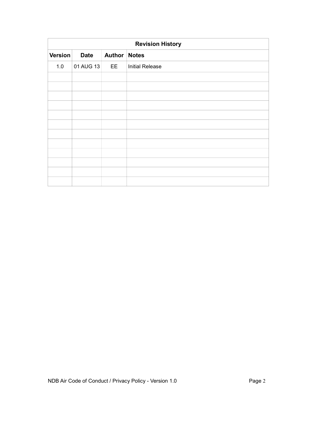| <b>Revision History</b> |             |                     |                        |  |
|-------------------------|-------------|---------------------|------------------------|--|
| Version                 | <b>Date</b> | <b>Author Notes</b> |                        |  |
| 1.0                     | 01 AUG 13   | EE                  | <b>Initial Release</b> |  |
|                         |             |                     |                        |  |
|                         |             |                     |                        |  |
|                         |             |                     |                        |  |
|                         |             |                     |                        |  |
|                         |             |                     |                        |  |
|                         |             |                     |                        |  |
|                         |             |                     |                        |  |
|                         |             |                     |                        |  |
|                         |             |                     |                        |  |
|                         |             |                     |                        |  |
|                         |             |                     |                        |  |
|                         |             |                     |                        |  |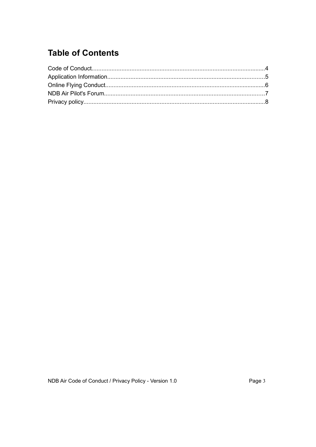## **Table of Contents**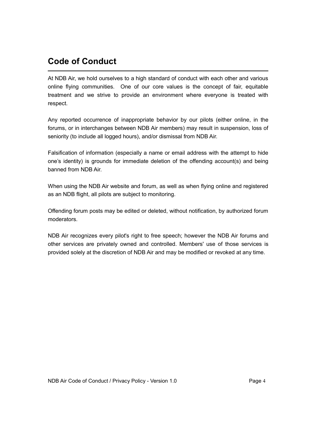### **Code of Conduct**

At NDB Air, we hold ourselves to a high standard of conduct with each other and various online flying communities. One of our core values is the concept of fair, equitable treatment and we strive to provide an environment where everyone is treated with respect.

Any reported occurrence of inappropriate behavior by our pilots (either online, in the forums, or in interchanges between NDB Air members) may result in suspension, loss of seniority (to include all logged hours), and/or dismissal from NDB Air.

Falsification of information (especially a name or email address with the attempt to hide one's identity) is grounds for immediate deletion of the offending account(s) and being banned from NDB Air.

When using the NDB Air website and forum, as well as when flying online and registered as an NDB flight, all pilots are subject to monitoring.

Offending forum posts may be edited or deleted, without notification, by authorized forum moderators.

NDB Air recognizes every pilot's right to free speech; however the NDB Air forums and other services are privately owned and controlled. Members' use of those services is provided solely at the discretion of NDB Air and may be modified or revoked at any time.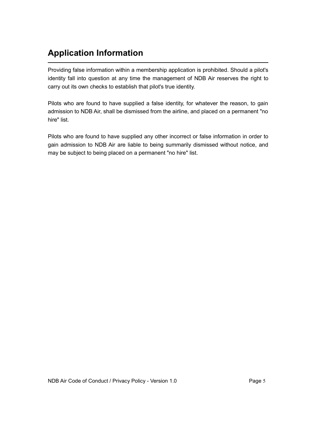### **Application Information**

Providing false information within a membership application is prohibited. Should a pilot's identity fall into question at any time the management of NDB Air reserves the right to carry out its own checks to establish that pilot's true identity.

Pilots who are found to have supplied a false identity, for whatever the reason, to gain admission to NDB Air, shall be dismissed from the airline, and placed on a permanent "no hire" list.

Pilots who are found to have supplied any other incorrect or false information in order to gain admission to NDB Air are liable to being summarily dismissed without notice, and may be subject to being placed on a permanent "no hire" list.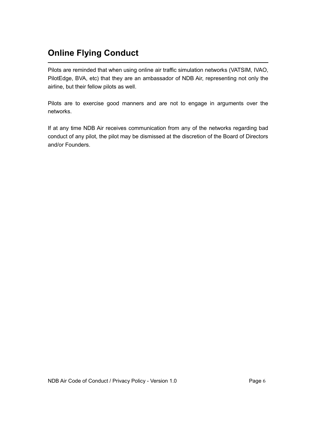## **Online Flying Conduct**

Pilots are reminded that when using online air traffic simulation networks (VATSIM, IVAO, PilotEdge, BVA, etc) that they are an ambassador of NDB Air, representing not only the airline, but their fellow pilots as well.

Pilots are to exercise good manners and are not to engage in arguments over the networks.

If at any time NDB Air receives communication from any of the networks regarding bad conduct of any pilot, the pilot may be dismissed at the discretion of the Board of Directors and/or Founders.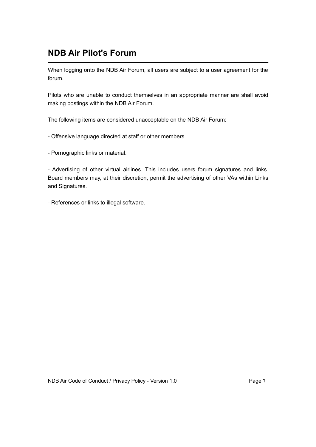### **NDB Air Pilot's Forum**

When logging onto the NDB Air Forum, all users are subject to a user agreement for the forum.

Pilots who are unable to conduct themselves in an appropriate manner are shall avoid making postings within the NDB Air Forum.

The following items are considered unacceptable on the NDB Air Forum:

- Offensive language directed at staff or other members.

- Pornographic links or material.

- Advertising of other virtual airlines. This includes users forum signatures and links. Board members may, at their discretion, permit the advertising of other VAs within Links and Signatures.

- References or links to illegal software.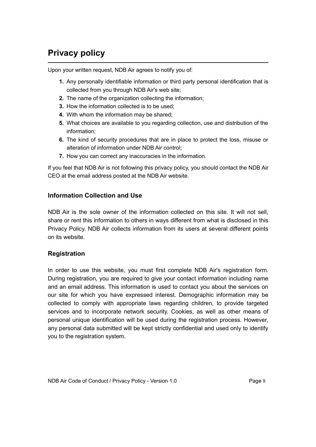### **Privacy policy**

Upon your written request, NDB Air agrees to notify you of:

- **1.** Any personally identifiable information or third party personal identification that is collected from you through NDB Air's web site;
- **2.** The name of the organization collecting the information;
- **3.** How the information collected is to be used;
- **4.** With whom the information may be shared;
- **5.** What choices are available to you regarding collection, use and distribution of the information;
- **6.** The kind of security procedures that are in place to protect the loss, misuse or alteration of information under NDB Air control;
- **7.** How you can correct any inaccuracies in the information.

If you feel that NDB Air is not following this privacy policy, you should contact the NDB Air CEO at the email address posted at the NDB Air website.

#### **Information Collection and Use**

NDB Air is the sole owner of the information collected on this site. It will not sell, share or rent this information to others in ways different from what is disclosed in this Privacy Policy. NDB Air collects information from its users at several different points on its website.

#### **Registration**

In order to use this website, you must first complete NDB Air's registration form. During registration, you are required to give your contact information including name and an email address. This information is used to contact you about the services on our site for which you have expressed interest. Demographic information may be collected to comply with appropriate laws regarding children, to provide targeted services and to incorporate network security. Cookies, as well as other means of personal unique identification will be used during the registration process. However, any personal data submitted will be kept strictly confidential and used only to identify you to the registration system.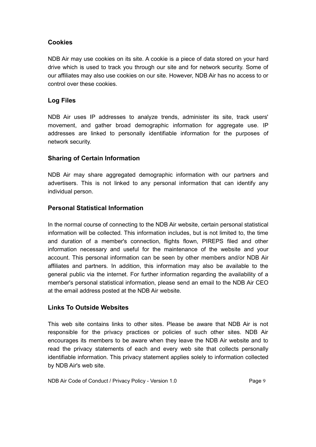#### **Cookies**

NDB Air may use cookies on its site. A cookie is a piece of data stored on your hard drive which is used to track you through our site and for network security. Some of our affiliates may also use cookies on our site. However, NDB Air has no access to or control over these cookies.

#### **Log Files**

NDB Air uses IP addresses to analyze trends, administer its site, track users' movement, and gather broad demographic information for aggregate use. IP addresses are linked to personally identifiable information for the purposes of network security.

#### **Sharing of Certain Information**

NDB Air may share aggregated demographic information with our partners and advertisers. This is not linked to any personal information that can identify any individual person.

#### **Personal Statistical Information**

In the normal course of connecting to the NDB Air website, certain personal statistical information will be collected. This information includes, but is not limited to, the time and duration of a member's connection, flights flown, PIREPS filed and other information necessary and useful for the maintenance of the website and your account. This personal information can be seen by other members and/or NDB Air affiliates and partners. In addition, this information may also be available to the general public via the internet. For further information regarding the availability of a member's personal statistical information, please send an email to the NDB Air CEO at the email address posted at the NDB Air website.

#### **Links To Outside Websites**

This web site contains links to other sites. Please be aware that NDB Air is not responsible for the privacy practices or policies of such other sites. NDB Air encourages its members to be aware when they leave the NDB Air website and to read the privacy statements of each and every web site that collects personally identifiable information. This privacy statement applies solely to information collected by NDB Air's web site.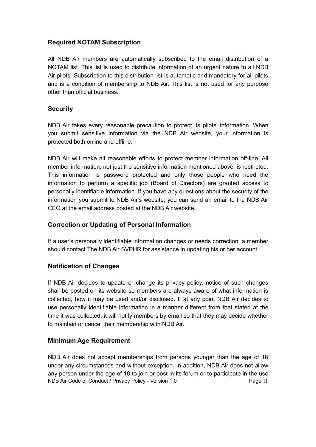#### **Required NOTAM Subscription**

All NDB Air members are automatically subscribed to the email distribution of a NOTAM list. This list is used to distribute information of an urgent nature to all NDB Air pilots. Subscription to this distribution list is automatic and mandatory for all pilots and is a condition of membership to NDB Air. This list is not used for any purpose other than official business.

#### **Security**

NDB Air takes every reasonable precaution to protect its pilots' information. When you submit sensitive information via the NDB Air website, your information is protected both online and offline.

NDB Air will make all reasonable efforts to protect member information off-line. All member information, not just the sensitive information mentioned above, is restricted. This information is password protected and only those people who need the information to perform a specific job (Board of Directors) are granted access to personally identifiable information. If you have any questions about the security of the information you submit to NDB Air's website, you can send an email to the NDB Air CEO at the email address posted at the NDB Air website.

#### **Correction or Updating of Personal Information**

If a user's personally identifiable information changes or needs correction, a member should contact The NDB Air SVPHR for assistance in updating his or her account.

#### **Notification of Changes**

If NDB Air decides to update or change its privacy policy, notice of such changes shall be posted on its website so members are always aware of what information is collected, how it may be used and/or disclosed. If at any point NDB Air decides to use personally identifiable information in a manner different from that stated at the time it was collected, it will notify members by email so that they may decide whether to maintain or cancel their membership with NDB Air.

#### **Minimum Age Requirement**

NDB Air does not accept memberships from persons younger than the age of 18 under any circumstances and without exception. In addition, NDB Air does not allow any person under the age of 18 to join or post in its forum or to participate in the use NDB Air Code of Conduct / Privacy Policy - Version 1.0 Page 11